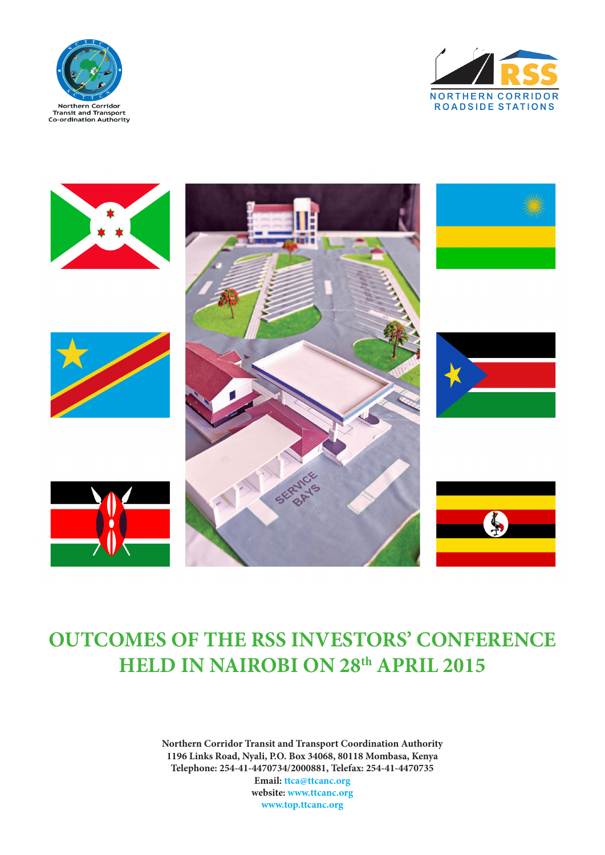





## **OUTCOMES OF THE RSS INVESTORS' CONFERENCE HELD IN NAIROBI ON 28th APRIL 2015**

**Northern Corridor Transit and Transport Coordination Authority 1196 Links Road, Nyali, P.O. Box 34068, 80118 Mombasa, Kenya Telephone: 254-41-4470734/2000881, Telefax: 254-41-4470735 Email: ttca@ttcanc.org website: www.ttcanc.org www.top.ttcanc.org**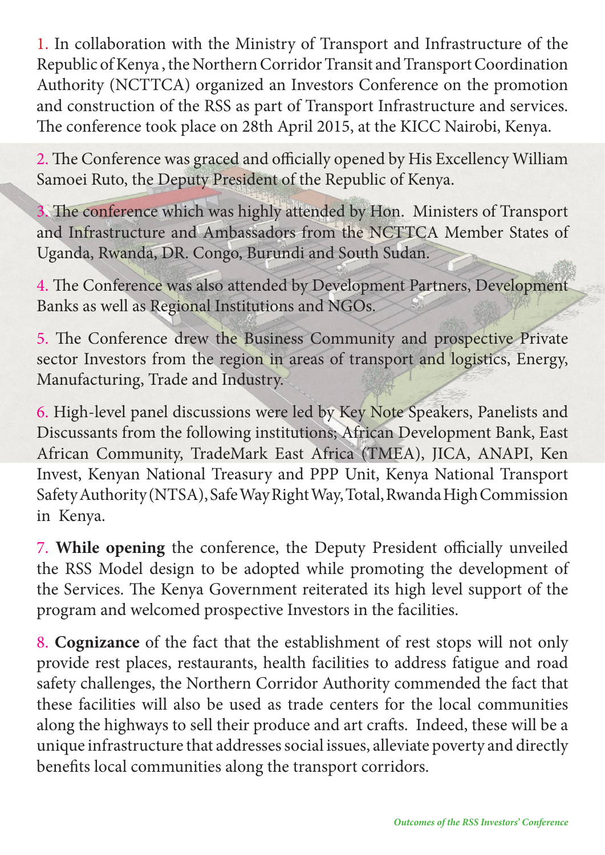1. In collaboration with the Ministry of Transport and Infrastructure of the Republic of Kenya , the Northern Corridor Transit and Transport Coordination Authority (NCTTCA) organized an Investors Conference on the promotion and construction of the RSS as part of Transport Infrastructure and services. The conference took place on 28th April 2015, at the KICC Nairobi, Kenya.

2. The Conference was graced and officially opened by His Excellency William Samoei Ruto, the Deputy President of the Republic of Kenya.

3. The conference which was highly attended by Hon. Ministers of Transport and Infrastructure and Ambassadors from the NCTTCA Member States of Uganda, Rwanda, DR. Congo, Burundi and South Sudan.

4. The Conference was also attended by Development Partners, Development Banks as well as Regional Institutions and NGOs.

5. The Conference drew the Business Community and prospective Private sector Investors from the region in areas of transport and logistics, Energy, Manufacturing, Trade and Industry.

6. High-level panel discussions were led by Key Note Speakers, Panelists and Discussants from the following institutions; African Development Bank, East African Community, TradeMark East Africa (TMEA), JICA, ANAPI, Ken Invest, Kenyan National Treasury and PPP Unit, Kenya National Transport Safety Authority (NTSA), Safe Way Right Way, Total, Rwanda High Commission in Kenya.

7. **While opening** the conference, the Deputy President officially unveiled the RSS Model design to be adopted while promoting the development of the Services. The Kenya Government reiterated its high level support of the program and welcomed prospective Investors in the facilities.

8. **Cognizance** of the fact that the establishment of rest stops will not only provide rest places, restaurants, health facilities to address fatigue and road safety challenges, the Northern Corridor Authority commended the fact that these facilities will also be used as trade centers for the local communities along the highways to sell their produce and art crafts. Indeed, these will be a unique infrastructure that addresses social issues, alleviate poverty and directly benefits local communities along the transport corridors.